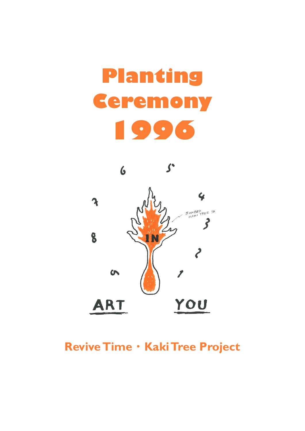## **Planting Ceremony 1996**



## Revive Time · Kaki Tree Project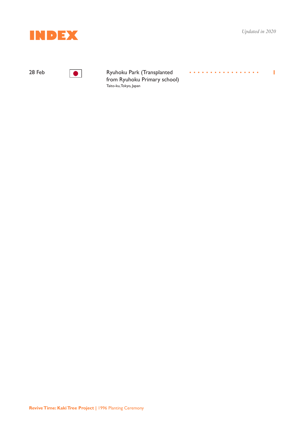

. . . . . . . . . . . . . . . . . .

**1**



**The Park Control** Ryuhoku Park (Transplanted from Ryuhoku Primary school) Taito-ku, Tokyo, Japan